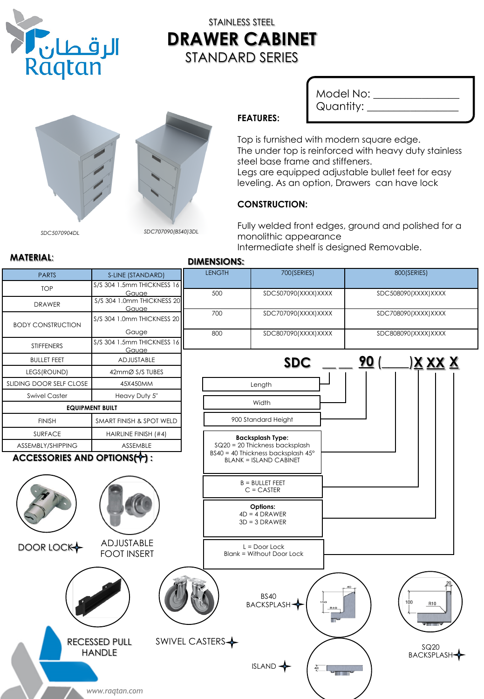

# STAINLESS STEEL **DRAWER CABINET** STANDARD SERIES



Model No: \_\_\_\_\_\_\_\_\_\_\_\_\_ Quantity: \_\_\_\_\_\_\_\_\_\_\_\_\_\_\_

## **FEATURES:**

Top is furnished with modern square edge. The under top is reinforced with heavy duty stainless steel base frame and stiffeners.

Legs are equipped adjustable bullet feet for easy leveling. As an option, Drawers can have lock

## **CONSTRUCTION:**

Fully welded front edges, ground and polished for a monolithic appearance

Intermediate shelf is designed Removable.

#### **MATERIAL**: **DIMENSIONS:** LENGTH 700(SERIES) 700 (SERIES) PARTS | S-LINE (STANDARD) TOP S/S 304 1.5mm THICKNESS 16 500 SDC507090(XXXX)XXXX SDC508090(XXXX)XXXX **Gauge** DRAWER S/S 304 1.0mm THICKNESS 20 Gauge 700 SDC707090(XXXX)XXXX SDC708090(XXXX)XXXX S/S 304 1.0mm THICKNESS 20 BODY CONSTRUCTION Gauge 800 SDC807090(XXXX)XXXX SDC808090(XXXX)XXXX STIFFENERS S/S 304 1.5mm THICKNESS 16 Gauge BULLET FEET **ADJUSTABLE** \_\_ **90** (\_\_\_\_) **XX X X SDC** \_\_ LEGS(ROUND) 42mmØ S/S TUBES SLIDING DOOR SELF CLOSE 45X450MM Length Swivel Caster **Heavy Duty 5**" **Width EQUIPMENT BUILT** FINISH SMART FINISH & SPOT WELD 900 Standard Height SURFACE HAIRLINE FINISH (#4) **Backsplash Type:** ASSEMBLY/SHIPPING | ASSEMBLE SQ20 = 20 Thickness backsplash BS40 = 40 Thickness backsplash 45° ACCESSORIES AND OPTIONS(<sup>1</sup>): BLANK = ISLAND CABINET B = BULLET FEET C = CASTER **Options:** 4D = 4 DRAWER 3D = 3 DRAWER ADJUSTABLE DOOR LOCK L = Door Lock FOOT INSERT Blank = Without Door Lock BS40 R10 BACKSPLASH SWIVEL CASTERS RECESSED PULL SQ20 HANDLE BACKSPLASH ISLAND  $\overline{\phantom{a}}$ *www.raqtan.com*